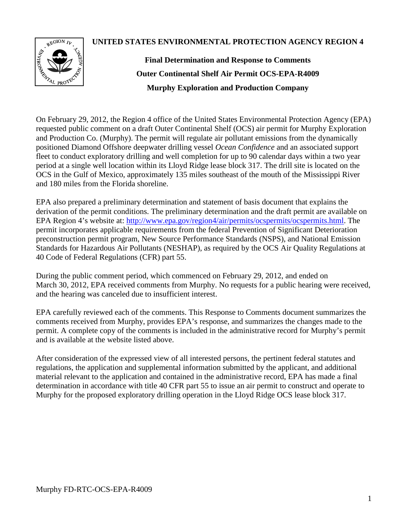**UNITED STATES ENVIRONMENTAL PROTECTION AGENCY REGION 4**



**Final Determination and Response to Comments Outer Continental Shelf Air Permit OCS-EPA-R4009 Murphy Exploration and Production Company**

On February 29, 2012, the Region 4 office of the United States Environmental Protection Agency (EPA) requested public comment on a draft Outer Continental Shelf (OCS) air permit for Murphy Exploration and Production Co. (Murphy). The permit will regulate air pollutant emissions from the dynamically positioned Diamond Offshore deepwater drilling vessel *Ocean Confidence* and an associated support fleet to conduct exploratory drilling and well completion for up to 90 calendar days within a two year period at a single well location within its Lloyd Ridge lease block 317. The drill site is located on the OCS in the Gulf of Mexico, approximately 135 miles southeast of the mouth of the Mississippi River and 180 miles from the Florida shoreline.

EPA also prepared a preliminary determination and statement of basis document that explains the derivation of the permit conditions. The preliminary determination and the draft permit are available on EPA Region 4's website at: [http://www.epa.gov/region4/air/permits/ocspermits/ocspermits.html.](http://www.epa.gov/region4/air/permits/ocspermits/ocspermits.html) The permit incorporates applicable requirements from the federal Prevention of Significant Deterioration preconstruction permit program, New Source Performance Standards (NSPS), and National Emission Standards for Hazardous Air Pollutants (NESHAP), as required by the OCS Air Quality Regulations at 40 Code of Federal Regulations (CFR) part 55.

During the public comment period, which commenced on February 29, 2012, and ended on March 30, 2012, EPA received comments from Murphy. No requests for a public hearing were received, and the hearing was canceled due to insufficient interest.

EPA carefully reviewed each of the comments. This Response to Comments document summarizes the comments received from Murphy, provides EPA's response, and summarizes the changes made to the permit. A complete copy of the comments is included in the administrative record for Murphy's permit and is available at the website listed above.

After consideration of the expressed view of all interested persons, the pertinent federal statutes and regulations, the application and supplemental information submitted by the applicant, and additional material relevant to the application and contained in the administrative record, EPA has made a final determination in accordance with title 40 CFR part 55 to issue an air permit to construct and operate to Murphy for the proposed exploratory drilling operation in the Lloyd Ridge OCS lease block 317.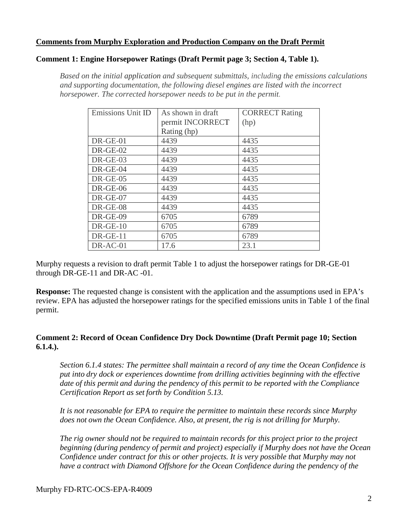## **Comments from Murphy Exploration and Production Company on the Draft Permit**

#### **Comment 1: Engine Horsepower Ratings (Draft Permit page 3; Section 4, Table 1).**

*Based on the initial application and subsequent submittals, including the emissions calculations and supporting documentation, the following diesel engines are listed with the incorrect horsepower. The corrected horsepower needs to be put in the permit.*

| Emissions Unit ID | As shown in draft | <b>CORRECT Rating</b> |  |
|-------------------|-------------------|-----------------------|--|
|                   | permit INCORRECT  | (hp)                  |  |
|                   | Rating (hp)       |                       |  |
| DR-GE-01          | 4439              | 4435                  |  |
| $DR-GE-02$        | 4439              | 4435                  |  |
| $DR-GE-03$        | 4439              | 4435                  |  |
| DR-GE-04          | 4439              | 4435                  |  |
| $DR-GE-05$        | 4439              | 4435                  |  |
| $DR-GE-06$        | 4439              | 4435                  |  |
| $DR-GE-07$        | 4439              | 4435                  |  |
| DR-GE-08          | 4439              | 4435                  |  |
| DR-GE-09          | 6705              | 6789                  |  |
| $DR-GE-10$        | 6705              | 6789                  |  |
| $DR-GE-11$        | 6705              | 6789                  |  |
| DR-AC-01          | 17.6              | 23.1                  |  |

Murphy requests a revision to draft permit Table 1 to adjust the horsepower ratings for DR-GE-01 through DR-GE-11 and DR-AC -01.

**Response:** The requested change is consistent with the application and the assumptions used in EPA's review. EPA has adjusted the horsepower ratings for the specified emissions units in Table 1 of the final permit.

#### **Comment 2: Record of Ocean Confidence Dry Dock Downtime (Draft Permit page 10; Section 6.1.4.).**

*Section 6.1.4 states: The permittee shall maintain a record of any time the Ocean Confidence is put into dry dock or experiences downtime from drilling activities beginning with the effective date of this permit and during the pendency of this permit to be reported with the Compliance Certification Report as set forth by Condition 5.13.*

*It is not reasonable for EPA to require the permittee to maintain these records since Murphy does not own the Ocean Confidence. Also, at present, the rig is not drilling for Murphy.*

*The rig owner should not be required to maintain records for this project prior to the project beginning (during pendency of permit and project) especially if Murphy does not have the Ocean Confidence under contract for this or other projects. It is very possible that Murphy may not have a contract with Diamond Offshore for the Ocean Confidence during the pendency of the*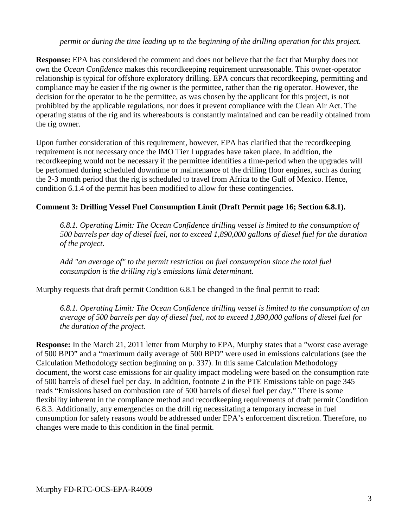*permit or during the time leading up to the beginning of the drilling operation for this project.*

**Response:** EPA has considered the comment and does not believe that the fact that Murphy does not own the *Ocean Confidence* makes this recordkeeping requirement unreasonable. This owner-operator relationship is typical for offshore exploratory drilling. EPA concurs that recordkeeping, permitting and compliance may be easier if the rig owner is the permittee, rather than the rig operator. However, the decision for the operator to be the permittee, as was chosen by the applicant for this project, is not prohibited by the applicable regulations, nor does it prevent compliance with the Clean Air Act. The operating status of the rig and its whereabouts is constantly maintained and can be readily obtained from the rig owner.

Upon further consideration of this requirement, however, EPA has clarified that the recordkeeping requirement is not necessary once the IMO Tier I upgrades have taken place. In addition, the recordkeeping would not be necessary if the permittee identifies a time-period when the upgrades will be performed during scheduled downtime or maintenance of the drilling floor engines, such as during the 2-3 month period that the rig is scheduled to travel from Africa to the Gulf of Mexico. Hence, condition 6.1.4 of the permit has been modified to allow for these contingencies.

# **Comment 3: Drilling Vessel Fuel Consumption Limit (Draft Permit page 16; Section 6.8.1).**

*6.8.1. Operating Limit: The Ocean Confidence drilling vessel is limited to the consumption of 500 barrels per day of diesel fuel, not to exceed 1,890,000 gallons of diesel fuel for the duration of the project.*

*Add "an average of" to the permit restriction on fuel consumption since the total fuel consumption is the drilling rig's emissions limit determinant.*

Murphy requests that draft permit Condition 6.8.1 be changed in the final permit to read:

*6.8.1. Operating Limit: The Ocean Confidence drilling vessel is limited to the consumption of an average of 500 barrels per day of diesel fuel, not to exceed 1,890,000 gallons of diesel fuel for the duration of the project.*

**Response:** In the March 21, 2011 letter from Murphy to EPA, Murphy states that a "worst case average of 500 BPD" and a "maximum daily average of 500 BPD" were used in emissions calculations (see the Calculation Methodology section beginning on p. 337). In this same Calculation Methodology document, the worst case emissions for air quality impact modeling were based on the consumption rate of 500 barrels of diesel fuel per day. In addition, footnote 2 in the PTE Emissions table on page 345 reads "Emissions based on combustion rate of 500 barrels of diesel fuel per day." There is some flexibility inherent in the compliance method and recordkeeping requirements of draft permit Condition 6.8.3. Additionally, any emergencies on the drill rig necessitating a temporary increase in fuel consumption for safety reasons would be addressed under EPA's enforcement discretion. Therefore, no changes were made to this condition in the final permit.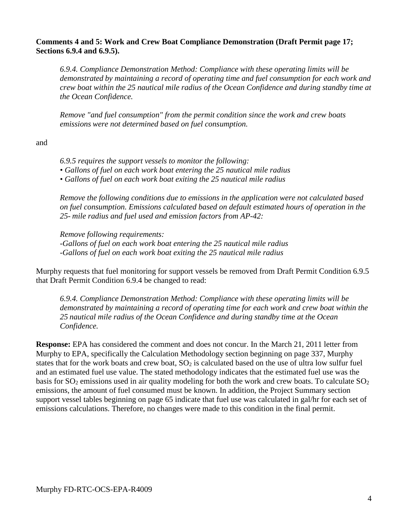#### **Comments 4 and 5: Work and Crew Boat Compliance Demonstration (Draft Permit page 17; Sections 6.9.4 and 6.9.5).**

*6.9.4. Compliance Demonstration Method: Compliance with these operating limits will be demonstrated by maintaining a record of operating time and fuel consumption for each work and crew boat within the 25 nautical mile radius of the Ocean Confidence and during standby time at the Ocean Confidence.*

*Remove "and fuel consumption" from the permit condition since the work and crew boats emissions were not determined based on fuel consumption.*

and

*6.9.5 requires the support vessels to monitor the following:*

- *Gallons of fuel on each work boat entering the 25 nautical mile radius*
- *Gallons of fuel on each work boat exiting the 25 nautical mile radius*

*Remove the following conditions due to emissions in the application were not calculated based on fuel consumption. Emissions calculated based on default estimated hours of operation in the 25- mile radius and fuel used and emission factors from AP-42:*

*Remove following requirements: -Gallons of fuel on each work boat entering the 25 nautical mile radius -Gallons of fuel on each work boat exiting the 25 nautical mile radius*

Murphy requests that fuel monitoring for support vessels be removed from Draft Permit Condition 6.9.5 that Draft Permit Condition 6.9.4 be changed to read:

*6.9.4. Compliance Demonstration Method: Compliance with these operating limits will be demonstrated by maintaining a record of operating time for each work and crew boat within the 25 nautical mile radius of the Ocean Confidence and during standby time at the Ocean Confidence.*

**Response:** EPA has considered the comment and does not concur. In the March 21, 2011 letter from Murphy to EPA, specifically the Calculation Methodology section beginning on page 337, Murphy states that for the work boats and crew boat,  $SO<sub>2</sub>$  is calculated based on the use of ultra low sulfur fuel and an estimated fuel use value. The stated methodology indicates that the estimated fuel use was the basis for  $SO_2$  emissions used in air quality modeling for both the work and crew boats. To calculate  $SO_2$ emissions, the amount of fuel consumed must be known. In addition, the Project Summary section support vessel tables beginning on page 65 indicate that fuel use was calculated in gal/hr for each set of emissions calculations. Therefore, no changes were made to this condition in the final permit.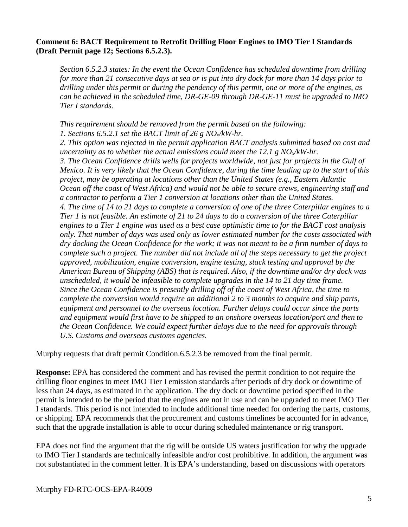## **Comment 6: BACT Requirement to Retrofit Drilling Floor Engines to IMO Tier I Standards (Draft Permit page 12; Sections 6.5.2.3).**

*Section 6.5.2.3 states: In the event the Ocean Confidence has scheduled downtime from drilling for more than 21 consecutive days at sea or is put into dry dock for more than 14 days prior to drilling under this permit or during the pendency of this permit, one or more of the engines, as can be achieved in the scheduled time, DR-GE-09 through DR-GE-11 must be upgraded to IMO Tier I standards.*

*This requirement should be removed from the permit based on the following: 1. Sections 6.5.2.1 set the BACT limit of 26 g NOx/kW-hr.*

*2. This option was rejected in the permit application BACT analysis submitted based on cost and uncertainty as to whether the actual emissions could meet the 12.1 g NO<sub>x</sub>/kW-hr. 3. The Ocean Confidence drills wells for projects worldwide, not just for projects in the Gulf of Mexico. It is very likely that the Ocean Confidence, during the time leading up to the start of this project, may be operating at locations other than the United States (e.g., Eastern Atlantic Ocean off the coast of West Africa) and would not be able to secure crews, engineering staff and a contractor to perform a Tier 1 conversion at locations other than the United States. 4. The time of 14 to 21 days to complete a conversion of one of the three Caterpillar engines to a Tier 1 is not feasible. An estimate of 21 to 24 days to do a conversion of the three Caterpillar engines to a Tier 1 engine was used as a best case optimistic time to for the BACT cost analysis only. That number of days was used only as lower estimated number for the costs associated with dry docking the Ocean Confidence for the work; it was not meant to be a firm number of days to complete such a project. The number did not include all of the steps necessary to get the project approved, mobilization, engine conversion, engine testing, stack testing and approval by the American Bureau of Shipping (ABS) that is required. Also, if the downtime and/or dry dock was unscheduled, it would be infeasible to complete upgrades in the 14 to 21 day time frame. Since the Ocean Confidence is presently drilling off of the coast of West Africa, the time to complete the conversion would require an additional 2 to 3 months to acquire and ship parts, equipment and personnel to the overseas location. Further delays could occur since the parts and equipment would first have to be shipped to an onshore overseas location/port and then to the Ocean Confidence. We could expect further delays due to the need for approvals through U.S. Customs and overseas customs agencies.*

Murphy requests that draft permit Condition.6.5.2.3 be removed from the final permit.

**Response:** EPA has considered the comment and has revised the permit condition to not require the drilling floor engines to meet IMO Tier I emission standards after periods of dry dock or downtime of less than 24 days, as estimated in the application. The dry dock or downtime period specified in the permit is intended to be the period that the engines are not in use and can be upgraded to meet IMO Tier I standards. This period is not intended to include additional time needed for ordering the parts, customs, or shipping. EPA recommends that the procurement and customs timelines be accounted for in advance, such that the upgrade installation is able to occur during scheduled maintenance or rig transport.

EPA does not find the argument that the rig will be outside US waters justification for why the upgrade to IMO Tier I standards are technically infeasible and/or cost prohibitive. In addition, the argument was not substantiated in the comment letter. It is EPA's understanding, based on discussions with operators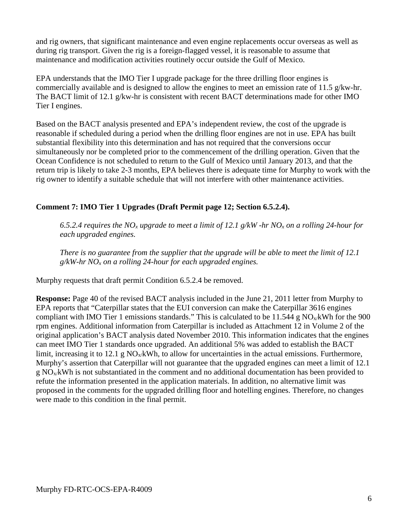and rig owners, that significant maintenance and even engine replacements occur overseas as well as during rig transport. Given the rig is a foreign-flagged vessel, it is reasonable to assume that maintenance and modification activities routinely occur outside the Gulf of Mexico.

EPA understands that the IMO Tier I upgrade package for the three drilling floor engines is commercially available and is designed to allow the engines to meet an emission rate of 11.5 g/kw-hr. The BACT limit of 12.1 g/kw-hr is consistent with recent BACT determinations made for other IMO Tier I engines.

Based on the BACT analysis presented and EPA's independent review, the cost of the upgrade is reasonable if scheduled during a period when the drilling floor engines are not in use. EPA has built substantial flexibility into this determination and has not required that the conversions occur simultaneously nor be completed prior to the commencement of the drilling operation. Given that the Ocean Confidence is not scheduled to return to the Gulf of Mexico until January 2013, and that the return trip is likely to take 2-3 months, EPA believes there is adequate time for Murphy to work with the rig owner to identify a suitable schedule that will not interfere with other maintenance activities.

# **Comment 7: IMO Tier 1 Upgrades (Draft Permit page 12; Section 6.5.2.4).**

*6.5.2.4 requires the NOx upgrade to meet a limit of 12.1 g/kW -hr NOx on a rolling 24-hour for each upgraded engines.*

*There is no guarantee from the supplier that the upgrade will be able to meet the limit of 12.1 g/kW-hr NOx on a rolling 24-hour for each upgraded engines.*

Murphy requests that draft permit Condition 6.5.2.4 be removed.

**Response:** Page 40 of the revised BACT analysis included in the June 21, 2011 letter from Murphy to EPA reports that "Caterpillar states that the EUI conversion can make the Caterpillar 3616 engines compliant with IMO Tier 1 emissions standards." This is calculated to be  $11.544 \text{ g NO}_x/\text{kWh}$  for the 900 rpm engines. Additional information from Caterpillar is included as Attachment 12 in Volume 2 of the original application's BACT analysis dated November 2010. This information indicates that the engines can meet IMO Tier 1 standards once upgraded. An additional 5% was added to establish the BACT limit, increasing it to 12.1 g  $NO_x/kWh$ , to allow for uncertainties in the actual emissions. Furthermore, Murphy's assertion that Caterpillar will not guarantee that the upgraded engines can meet a limit of 12.1  $g \text{NO}_x$  kWh is not substantiated in the comment and no additional documentation has been provided to refute the information presented in the application materials. In addition, no alternative limit was proposed in the comments for the upgraded drilling floor and hotelling engines. Therefore, no changes were made to this condition in the final permit.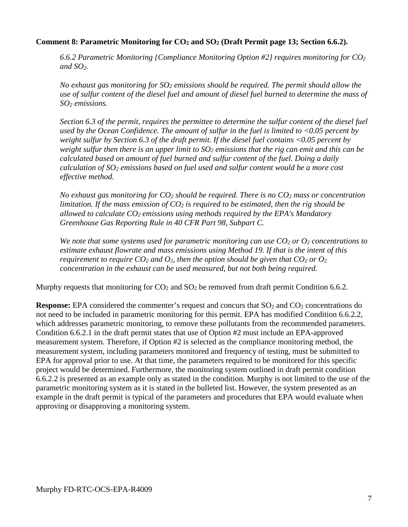## **Comment 8: Parametric Monitoring for CO2 and SO2 (Draft Permit page 13; Section 6.6.2).**

*6.6.2 Parametric Monitoring {Compliance Monitoring Option #2} requires monitoring for CO2 and SO2.*

*No exhaust gas monitoring for SO2 emissions should be required. The permit should allow the use of sulfur content of the diesel fuel and amount of diesel fuel burned to determine the mass of SO2 emissions.*

*Section 6.3 of the permit, requires the permittee to determine the sulfur content of the diesel fuel used by the Ocean Confidence. The amount of sulfur in the fuel is limited to <0.05 percent by weight sulfur by Section 6.3 of the draft permit. If the diesel fuel contains <0.05 percent by weight sulfur then there is an upper limit to SO2 emissions that the rig can emit and this can be calculated based on amount of fuel burned and sulfur content of the fuel. Doing a daily calculation of SO2 emissions based on fuel used and sulfur content would be a more cost effective method.*

*No exhaust gas monitoring for CO2 should be required. There is no CO2 mass or concentration limitation. If the mass emission of CO2 is required to be estimated, then the rig should be allowed to calculate CO2 emissions using methods required by the EPA's Mandatory Greenhouse Gas Reporting Rule in 40 CFR Part 98, Subpart C.*

*We note that some systems used for parametric monitoring can use*  $CO<sub>2</sub>$  *or*  $O<sub>2</sub>$  *concentrations to estimate exhaust flowrate and mass emissions using Method 19. If that is the intent of this requirement to require*  $CO_2$  *and*  $O_2$ *, then the option should be given that*  $CO_2$  *or*  $O_2$ *concentration in the exhaust can be used measured, but not both being required.*

Murphy requests that monitoring for  $CO<sub>2</sub>$  and  $SO<sub>2</sub>$  be removed from draft permit Condition 6.6.2.

**Response:** EPA considered the commenter's request and concurs that  $SO_2$  and  $CO_2$  concentrations do not need to be included in parametric monitoring for this permit. EPA has modified Condition 6.6.2.2, which addresses parametric monitoring, to remove these pollutants from the recommended parameters. Condition 6.6.2.1 in the draft permit states that use of Option #2 must include an EPA-approved measurement system. Therefore, if Option #2 is selected as the compliance monitoring method, the measurement system, including parameters monitored and frequency of testing, must be submitted to EPA for approval prior to use. At that time, the parameters required to be monitored for this specific project would be determined. Furthermore, the monitoring system outlined in draft permit condition 6.6.2.2 is presented as an example only as stated in the condition. Murphy is not limited to the use of the parametric monitoring system as it is stated in the bulleted list. However, the system presented as an example in the draft permit is typical of the parameters and procedures that EPA would evaluate when approving or disapproving a monitoring system.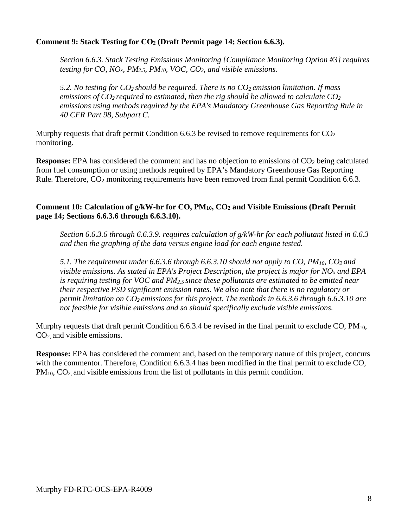# **Comment 9: Stack Testing for CO2 (Draft Permit page 14; Section 6.6.3).**

*Section 6.6.3. Stack Testing Emissions Monitoring {Compliance Monitoring Option #3} requires testing for CO, NOx, PM2.5, PM10, VOC, CO2, and visible emissions.*

*5.2. No testing for CO2 should be required. There is no CO2 emission limitation. If mass emissions of CO2 required to estimated, then the rig should be allowed to calculate CO2 emissions using methods required by the EPA's Mandatory Greenhouse Gas Reporting Rule in 40 CFR Part 98, Subpart C.*

Murphy requests that draft permit Condition 6.6.3 be revised to remove requirements for  $CO<sub>2</sub>$ monitoring.

**Response:** EPA has considered the comment and has no objection to emissions of CO<sub>2</sub> being calculated from fuel consumption or using methods required by EPA's Mandatory Greenhouse Gas Reporting Rule. Therefore, CO<sub>2</sub> monitoring requirements have been removed from final permit Condition 6.6.3.

## **Comment 10: Calculation of g/kW-hr for CO, PM10, CO2 and Visible Emissions (Draft Permit page 14; Sections 6.6.3.6 through 6.6.3.10).**

*Section 6.6.3.6 through 6.6.3.9. requires calculation of g/kW-hr for each pollutant listed in 6.6.3 and then the graphing of the data versus engine load for each engine tested.*

*5.1. The requirement under 6.6.3.6 through 6.6.3.10 should not apply to CO, PM10, CO2 and visible emissions. As stated in EPA's Project Description, the project is major for NOx and EPA is requiring testing for VOC and PM2.5 since these pollutants are estimated to be emitted near their respective PSD significant emission rates. We also note that there is no regulatory or permit limitation on CO2 emissions for this project. The methods in 6.6.3.6 through 6.6.3.10 are not feasible for visible emissions and so should specifically exclude visible emissions.*

Murphy requests that draft permit Condition 6.6.3.4 be revised in the final permit to exclude CO,  $PM_{10}$ , CO2, and visible emissions.

**Response:** EPA has considered the comment and, based on the temporary nature of this project, concurs with the commentor. Therefore, Condition 6.6.3.4 has been modified in the final permit to exclude CO, PM<sub>10</sub>, CO<sub>2</sub>, and visible emissions from the list of pollutants in this permit condition.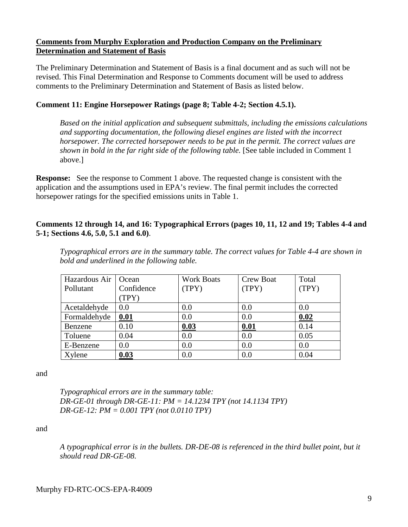## **Comments from Murphy Exploration and Production Company on the Preliminary Determination and Statement of Basis**

The Preliminary Determination and Statement of Basis is a final document and as such will not be revised. This Final Determination and Response to Comments document will be used to address comments to the Preliminary Determination and Statement of Basis as listed below.

# **Comment 11: Engine Horsepower Ratings (page 8; Table 4-2; Section 4.5.1).**

*Based on the initial application and subsequent submittals, including the emissions calculations and supporting documentation, the following diesel engines are listed with the incorrect horsepower. The corrected horsepower needs to be put in the permit. The correct values are shown in bold in the far right side of the following table.* [See table included in Comment 1 above.]

**Response:** See the response to Comment 1 above. The requested change is consistent with the application and the assumptions used in EPA's review. The final permit includes the corrected horsepower ratings for the specified emissions units in Table 1.

## **Comments 12 through 14, and 16: Typographical Errors (pages 10, 11, 12 and 19; Tables 4-4 and 5-1; Sections 4.6, 5.0, 5.1 and 6.0)**.

*Typographical errors are in the summary table. The correct values for Table 4-4 are shown in bold and underlined in the following table.*

| Hazardous Air | Ocean      | <b>Work Boats</b> | Crew Boat | Total |
|---------------|------------|-------------------|-----------|-------|
| Pollutant     | Confidence | (TPY)             | (TPY)     | (TPY) |
|               | (TPY)      |                   |           |       |
| Acetaldehyde  | 0.0        | 0.0               | 0.0       | 0.0   |
| Formaldehyde  | 0.01       | 0.0               | 0.0       | 0.02  |
| Benzene       | 0.10       | 0.03              | 0.01      | 0.14  |
| Toluene       | 0.04       | 0.0               | 0.0       | 0.05  |
| E-Benzene     | 0.0        | 0.0               | 0.0       | 0.0   |
| Xylene        | 0.03       | 0.0               | 0.0       | 0.04  |

and

*Typographical errors are in the summary table: DR-GE-01 through DR-GE-11: PM = 14.1234 TPY (not 14.1134 TPY) DR-GE-12: PM = 0.001 TPY (not 0.0110 TPY)*

and

*A typographical error is in the bullets. DR-DE-08 is referenced in the third bullet point, but it should read DR-GE-08.*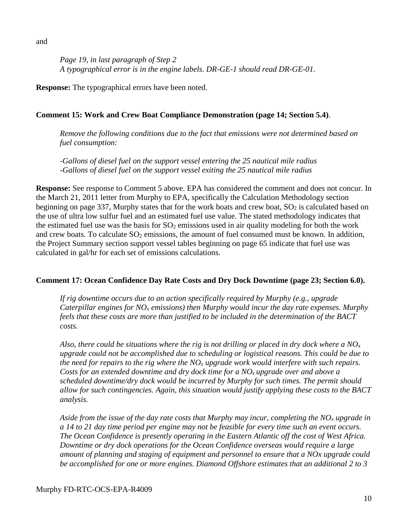and

*Page 19, in last paragraph of Step 2 A typographical error is in the engine labels. DR-GE-1 should read DR-GE-01.*

**Response:** The typographical errors have been noted.

# **Comment 15: Work and Crew Boat Compliance Demonstration (page 14; Section 5.4)**.

*Remove the following conditions due to the fact that emissions were not determined based on fuel consumption:*

*-Gallons of diesel fuel on the support vessel entering the 25 nautical mile radius -Gallons of diesel fuel on the support vessel exiting the 25 nautical mile radius*

**Response:** See response to Comment 5 above. EPA has considered the comment and does not concur. In the March 21, 2011 letter from Murphy to EPA, specifically the Calculation Methodology section beginning on page 337, Murphy states that for the work boats and crew boat,  $SO<sub>2</sub>$  is calculated based on the use of ultra low sulfur fuel and an estimated fuel use value. The stated methodology indicates that the estimated fuel use was the basis for  $SO_2$  emissions used in air quality modeling for both the work and crew boats. To calculate  $SO_2$  emissions, the amount of fuel consumed must be known. In addition, the Project Summary section support vessel tables beginning on page 65 indicate that fuel use was calculated in gal/hr for each set of emissions calculations.

# **Comment 17: Ocean Confidence Day Rate Costs and Dry Dock Downtime (page 23; Section 6.0).**

*If rig downtime occurs due to an action specifically required by Murphy (e.g., upgrade Caterpillar engines for NOx emissions) then Murphy would incur the day rate expenses. Murphy feels that these costs are more than justified to be included in the determination of the BACT costs.*

*Also, there could be situations where the rig is not drilling or placed in dry dock where a NOx upgrade could not be accomplished due to scheduling or logistical reasons. This could be due to the need for repairs to the rig where the NOx upgrade work would interfere with such repairs. Costs for an extended downtime and dry dock time for a NOx upgrade over and above a scheduled downtime/dry dock would be incurred by Murphy for such times. The permit should allow for such contingencies. Again, this situation would justify applying these costs to the BACT analysis.*

*Aside from the issue of the day rate costs that Murphy may incur, completing the NOx upgrade in a 14 to 21 day time period per engine may not be feasible for every time such an event occurs. The Ocean Confidence is presently operating in the Eastern Atlantic off the cost of West Africa. Downtime or dry dock operations for the Ocean Confidence overseas would require a large amount of planning and staging of equipment and personnel to ensure that a NOx upgrade could be accomplished for one or more engines. Diamond Offshore estimates that an additional 2 to 3*